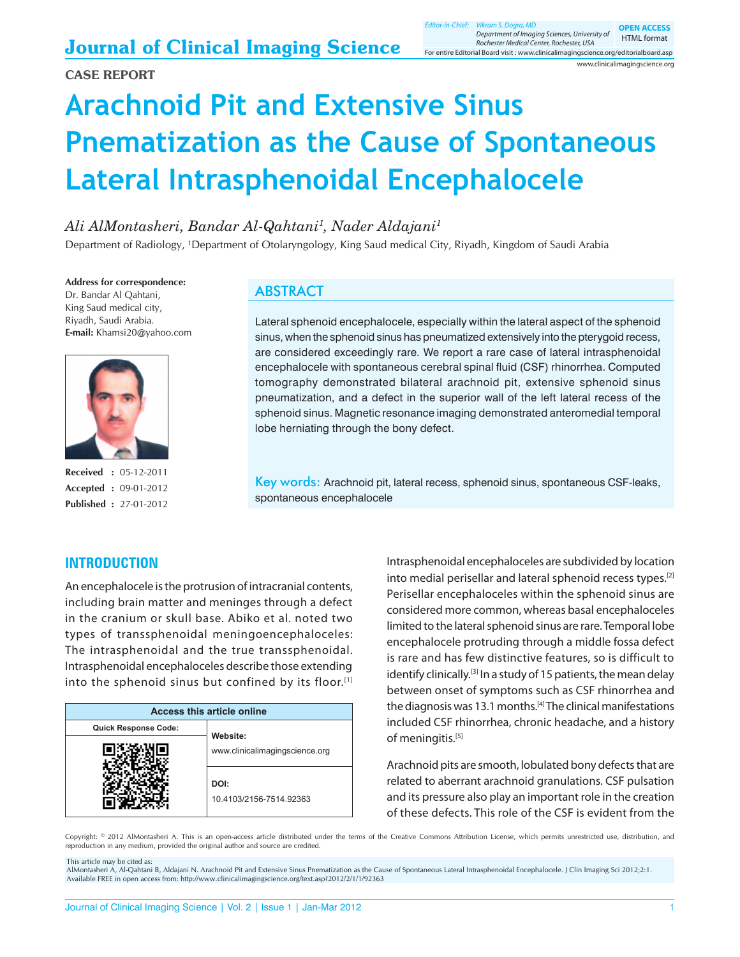# **Arachnoid Pit and Extensive Sinus Pnematization as the Cause of Spontaneous Lateral Intrasphenoidal Encephalocele**

# *Ali AlMontasheri, Bandar Al-Qahtani1 , Nader Aldajani1*

Department of Radiology, <sup>1</sup>Department of Otolaryngology, King Saud medical City, Riyadh, Kingdom of Saudi Arabia

**Address for correspondence:** Dr. Bandar Al Qahtani, King Saud medical city, Riyadh, Saudi Arabia. **E-mail:** Khamsi20@yahoo.com



**Received :** 05-12-2011 **Accepted :** 09-01-2012 **Published :** 27-01-2012

**INTRODUCTION**

## **ABSTRACT**

Lateral sphenoid encephalocele, especially within the lateral aspect of the sphenoid sinus, when the sphenoid sinus has pneumatized extensively into the pterygoid recess, are considered exceedingly rare. We report a rare case of lateral intrasphenoidal encephalocele with spontaneous cerebral spinal fluid (CSF) rhinorrhea. Computed tomography demonstrated bilateral arachnoid pit, extensive sphenoid sinus pneumatization, and a defect in the superior wall of the left lateral recess of the sphenoid sinus. Magnetic resonance imaging demonstrated anteromedial temporal lobe herniating through the bony defect.

Key words: Arachnoid pit, lateral recess, sphenoid sinus, spontaneous CSF-leaks, spontaneous encephalocele

An encephalocele is the protrusion of intracranial contents, including brain matter and meninges through a defect in the cranium or skull base. Abiko et al. noted two types of transsphenoidal meningoencephaloceles: The intrasphenoidal and the true transsphenoidal. Intrasphenoidal encephaloceles describe those extending into the sphenoid sinus but confined by its floor.[1]

| <b>Access this article online</b> |                                 |
|-----------------------------------|---------------------------------|
| Quick Response Code:              | Website:                        |
|                                   | www.clinicalimagingscience.org  |
|                                   | DOI:<br>10.4103/2156-7514.92363 |

Intrasphenoidal encephaloceles are subdivided by location into medial perisellar and lateral sphenoid recess types.[2] Perisellar encephaloceles within the sphenoid sinus are considered more common, whereas basal encephaloceles limited to the lateral sphenoid sinus are rare. Temporal lobe encephalocele protruding through a middle fossa defect is rare and has few distinctive features, so is difficult to identify clinically.<sup>[3]</sup> In a study of 15 patients, the mean delay between onset of symptoms such as CSF rhinorrhea and the diagnosis was 13.1 months.<sup>[4]</sup> The clinical manifestations included CSF rhinorrhea, chronic headache, and a history of meningitis.<sup>[5]</sup>

Arachnoid pits are smooth, lobulated bony defects that are related to aberrant arachnoid granulations. CSF pulsation and its pressure also play an important role in the creation of these defects. This role of the CSF is evident from the

Copyright: © 2012 AlMontasheri A. This is an open-access article distributed under the terms of the Creative Commons Attribution License, which permits unrestricted use, distribution, and reproduction in any medium, provided the original author and source are credited.

This article may be cited as:

AlMontasheri A, Al-Qahtani B, Aldajani N. Arachnoid Pit and Extensive Sinus Pnematization as the Cause of Spontaneous Lateral Intrasphenoidal Encephalocele. J Clin Imaging Sci 2012;2:1. Available FREE in open access from: <http://www.clinicalimagingscience.org/text.asp?2012/2/1/1/92363>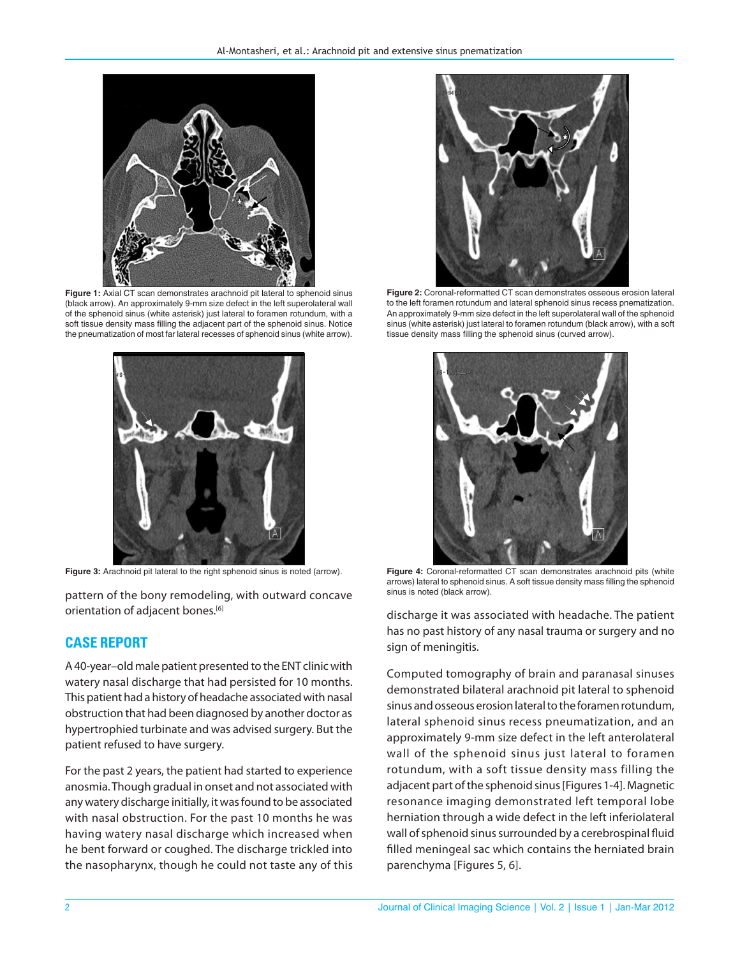

**Figure 1:** Axial CT scan demonstrates arachnoid pit lateral to sphenoid sinus (black arrow). An approximately 9-mm size defect in the left superolateral wall of the sphenoid sinus (white asterisk) just lateral to foramen rotundum, with a soft tissue density mass filling the adjacent part of the sphenoid sinus. Notice the pneumatization of most far lateral recesses of sphenoid sinus (white arrow).



pattern of the bony remodeling, with outward concave orientation of adjacent bones.<sup>[6]</sup>

#### **CASE REPORT**

A 40-year–old male patient presented to the ENT clinic with watery nasal discharge that had persisted for 10 months. This patient had a history of headache associated with nasal obstruction that had been diagnosed by another doctor as hypertrophied turbinate and was advised surgery. But the patient refused to have surgery.

For the past 2 years, the patient had started to experience anosmia. Though gradual in onset and not associated with any watery discharge initially, it was found to be associated with nasal obstruction. For the past 10 months he was having watery nasal discharge which increased when he bent forward or coughed. The discharge trickled into the nasopharynx, though he could not taste any of this



**Figure 2:** Coronal-reformatted CT scan demonstrates osseous erosion lateral to the left foramen rotundum and lateral sphenoid sinus recess pnematization. An approximately 9-mm size defect in the left superolateral wall of the sphenoid sinus (white asterisk) just lateral to foramen rotundum (black arrow), with a soft tissue density mass filling the sphenoid sinus (curved arrow).



**Figure 3:** Arachnoid pit lateral to the right sphenoid sinus is noted (arrow). **Figure 4:** Coronal-reformatted CT scan demonstrates arachnoid pits (white arrows) lateral to sphenoid sinus. A soft tissue density mass filling the sphenoid sinus is noted (black arrow).

discharge it was associated with headache. The patient has no past history of any nasal trauma or surgery and no sign of meningitis.

Computed tomography of brain and paranasal sinuses demonstrated bilateral arachnoid pit lateral to sphenoid sinus and osseous erosion lateral to the foramen rotundum, lateral sphenoid sinus recess pneumatization, and an approximately 9-mm size defect in the left anterolateral wall of the sphenoid sinus just lateral to foramen rotundum, with a soft tissue density mass filling the adjacent part of the sphenoid sinus [Figures1-4]. Magnetic resonance imaging demonstrated left temporal lobe herniation through a wide defect in the left inferiolateral wall of sphenoid sinus surrounded by a cerebrospinal fluid filled meningeal sac which contains the herniated brain parenchyma [Figures 5, 6].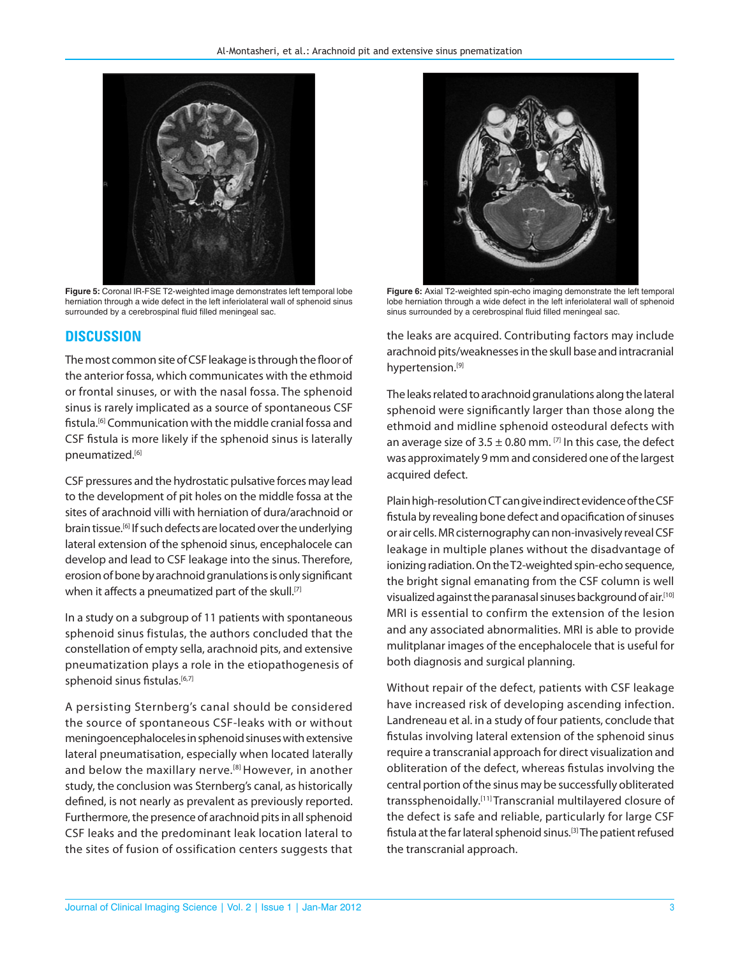

**Figure 5:** Coronal IR-FSE T2-weighted image demonstrates left temporal lobe herniation through a wide defect in the left inferiolateral wall of sphenoid sinus surrounded by a cerebrospinal fluid filled meningeal sac.

#### **DISCUSSION**

The most common site of CSF leakage is through the floor of the anterior fossa, which communicates with the ethmoid or frontal sinuses, or with the nasal fossa. The sphenoid sinus is rarely implicated as a source of spontaneous CSF fistula.[6] Communication with the middle cranial fossa and CSF fistula is more likely if the sphenoid sinus is laterally pneumatized.[6]

CSF pressures and the hydrostatic pulsative forces may lead to the development of pit holes on the middle fossa at the sites of arachnoid villi with herniation of dura/arachnoid or brain tissue.<sup>[6]</sup> If such defects are located over the underlying lateral extension of the sphenoid sinus, encephalocele can develop and lead to CSF leakage into the sinus. Therefore, erosion of bone by arachnoid granulations is only significant when it affects a pneumatized part of the skull.<sup>[7]</sup>

In a study on a subgroup of 11 patients with spontaneous sphenoid sinus fistulas, the authors concluded that the constellation of empty sella, arachnoid pits, and extensive pneumatization plays a role in the etiopathogenesis of sphenoid sinus fistulas.[6,7]

A persisting Sternberg's canal should be considered the source of spontaneous CSF-leaks with or without meningoencephaloceles in sphenoid sinuses with extensive lateral pneumatisation, especially when located laterally and below the maxillary nerve.<sup>[8]</sup> However, in another study, the conclusion was Sternberg's canal, as historically defined, is not nearly as prevalent as previously reported. Furthermore, the presence of arachnoid pits in all sphenoid CSF leaks and the predominant leak location lateral to the sites of fusion of ossification centers suggests that



**Figure 6:** Axial T2-weighted spin-echo imaging demonstrate the left temporal lobe herniation through a wide defect in the left inferiolateral wall of sphenoid sinus surrounded by a cerebrospinal fluid filled meningeal sac.

the leaks are acquired. Contributing factors may include arachnoid pits/weaknesses in the skull base and intracranial hypertension.[9]

The leaks related to arachnoid granulations along the lateral sphenoid were significantly larger than those along the ethmoid and midline sphenoid osteodural defects with an average size of  $3.5 \pm 0.80$  mm. <sup>[7]</sup> In this case, the defect was approximately 9 mm and considered one of the largest acquired defect.

Plain high-resolution CT can give indirect evidence of the CSF fistula by revealing bone defect and opacification of sinuses or air cells. MR cisternography can non-invasively reveal CSF leakage in multiple planes without the disadvantage of ionizing radiation. On the T2-weighted spin-echo sequence, the bright signal emanating from the CSF column is well visualized against the paranasal sinuses background of air.[10] MRI is essential to confirm the extension of the lesion and any associated abnormalities. MRI is able to provide mulitplanar images of the encephalocele that is useful for both diagnosis and surgical planning.

Without repair of the defect, patients with CSF leakage have increased risk of developing ascending infection. Landreneau et al. in a study of four patients, conclude that fistulas involving lateral extension of the sphenoid sinus require a transcranial approach for direct visualization and obliteration of the defect, whereas fistulas involving the central portion of the sinus may be successfully obliterated transsphenoidally.[11] Transcranial multilayered closure of the defect is safe and reliable, particularly for large CSF fistula at the far lateral sphenoid sinus.[3] The patient refused the transcranial approach.